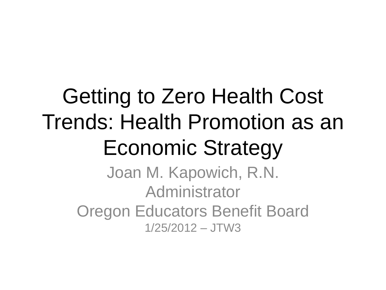# Getting to Zero Health Cost Trends: Health Promotion as an Economic Strategy

Joan M. Kapowich, R.N. Administrator Oregon Educators Benefit Board 1/25/2012 – JTW3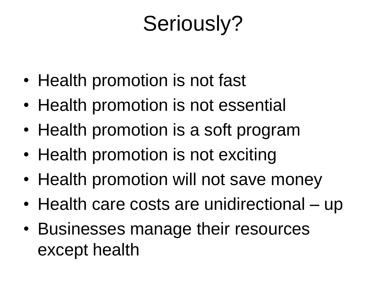#### Seriously?

- Health promotion is not fast
- Health promotion is not essential
- Health promotion is a soft program
- Health promotion is not exciting
- Health promotion will not save money
- Health care costs are unidirectional up
- Businesses manage their resources except health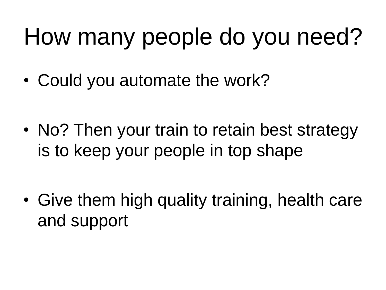# How many people do you need?

• Could you automate the work?

• No? Then your train to retain best strategy is to keep your people in top shape

• Give them high quality training, health care and support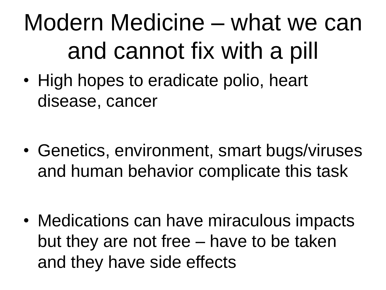# Modern Medicine – what we can and cannot fix with a pill

• High hopes to eradicate polio, heart disease, cancer

• Genetics, environment, smart bugs/viruses and human behavior complicate this task

• Medications can have miraculous impacts but they are not free – have to be taken and they have side effects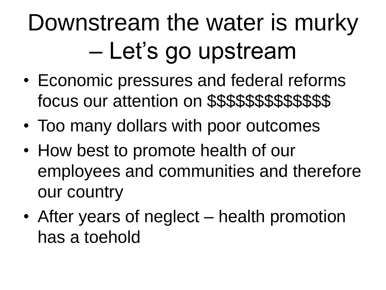# Downstream the water is murky – Let's go upstream

- Economic pressures and federal reforms focus our attention on \$\$\$\$\$\$\$\$\$\$\$\$\$
- Too many dollars with poor outcomes
- How best to promote health of our employees and communities and therefore our country
- After years of neglect health promotion has a toehold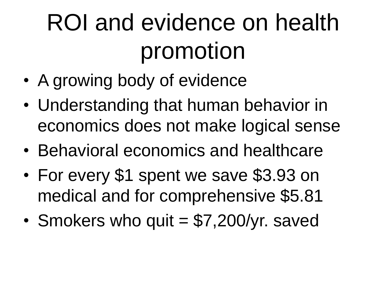# ROI and evidence on health promotion

- A growing body of evidence
- Understanding that human behavior in economics does not make logical sense
- Behavioral economics and healthcare
- For every \$1 spent we save \$3.93 on medical and for comprehensive \$5.81
- Smokers who quit  $= $7,200$ /yr. saved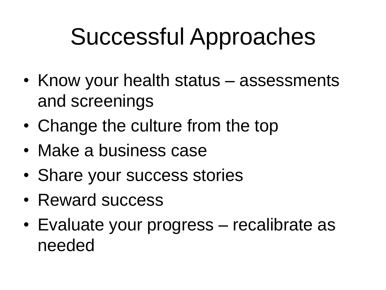### Successful Approaches

- Know your health status assessments and screenings
- Change the culture from the top
- Make a business case
- Share your success stories
- Reward success
- Evaluate your progress recalibrate as needed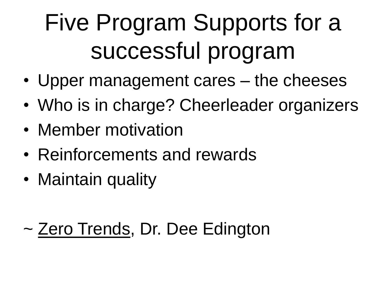# Five Program Supports for a successful program

- Upper management cares the cheeses
- Who is in charge? Cheerleader organizers
- Member motivation
- Reinforcements and rewards
- Maintain quality

#### ~ Zero Trends, Dr. Dee Edington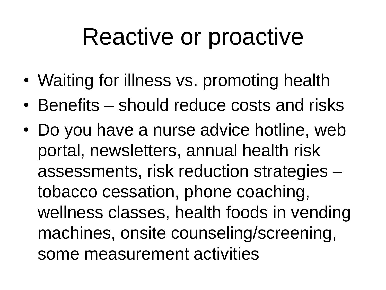#### Reactive or proactive

- Waiting for illness vs. promoting health
- Benefits should reduce costs and risks
- Do you have a nurse advice hotline, web portal, newsletters, annual health risk assessments, risk reduction strategies – tobacco cessation, phone coaching, wellness classes, health foods in vending machines, onsite counseling/screening, some measurement activities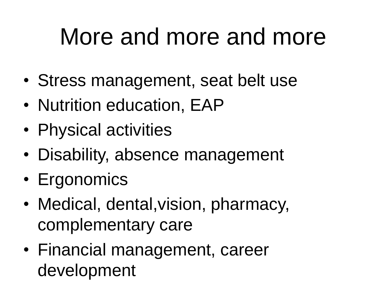## More and more and more

- Stress management, seat belt use
- Nutrition education, EAP
- Physical activities
- Disability, absence management
- Ergonomics
- Medical, dental,vision, pharmacy, complementary care
- Financial management, career development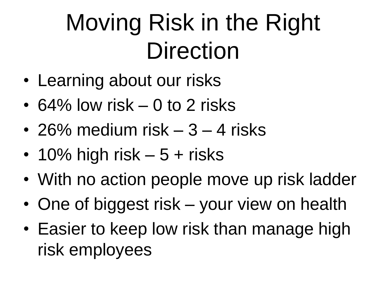# Moving Risk in the Right **Direction**

- Learning about our risks
- 64% low risk 0 to 2 risks
- 26% medium risk 3 4 risks
- 10% high risk  $-5 +$  risks
- With no action people move up risk ladder
- One of biggest risk your view on health
- Easier to keep low risk than manage high risk employees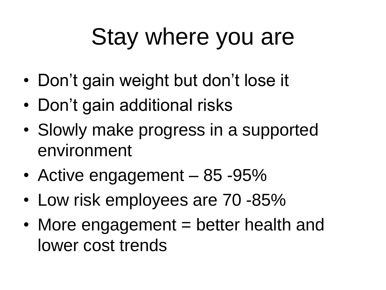# Stay where you are

- Don't gain weight but don't lose it
- Don't gain additional risks
- Slowly make progress in a supported environment
- Active engagement 85 -95%
- Low risk employees are 70 -85%
- More engagement = better health and lower cost trends